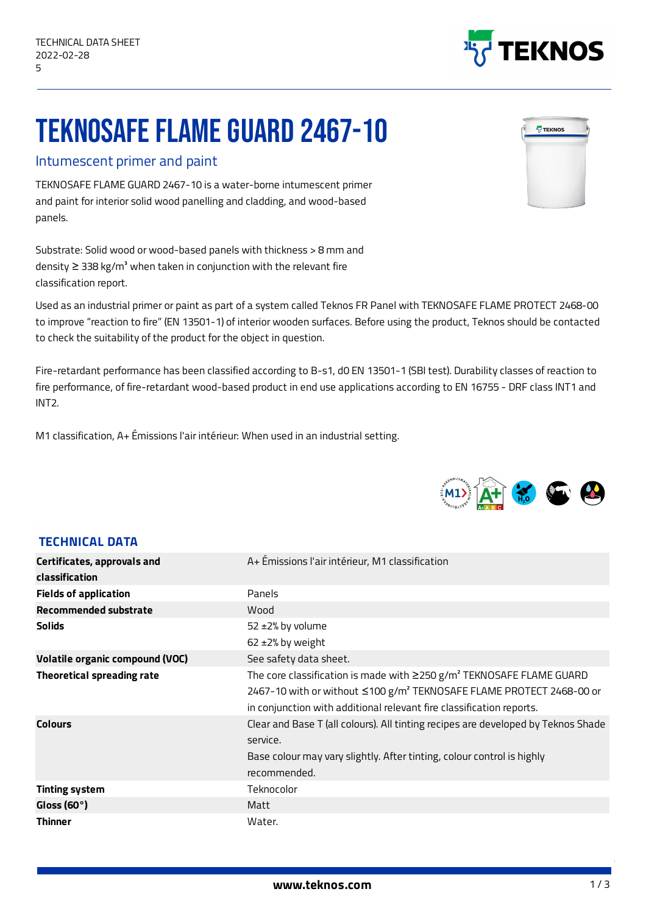**TECHNICAL DATA**

## TEKNOSAFE FLAME GUARD 2467-10

## Intumescent primer and paint

TEKNOSAFE FLAME GUARD 2467-10 is a water-borne intumescent primer and paint for interior solid wood panelling and cladding, and wood-based panels.

Substrate: Solid wood or wood-based panels with thickness > 8 mm and density  $\geq$  338 kg/m<sup>3</sup> when taken in conjunction with the relevant fire classification report.

Used as an industrial primer or paint as part of a system called Teknos FR Panel with TEKNOSAFE FLAME PROTECT 2468-00 to improve "reaction to fire" (EN 13501-1) of interior wooden surfaces. Before using the product, Teknos should be contacted to check the suitability of the product for the object in question.

Fire-retardant performance has been classified according to B-s1, d0 EN 13501-1 (SBI test). Durability classes of reaction to fire performance, of fire-retardant wood-based product in end use applications according to EN 16755 - DRF class INT1 and INT2.

M1 classification, A+ Émissions l'air intérieur: When used in an industrial setting.

| <b>Certificates, approvals and</b>     | A+ Emissions l'air intérieur, M1 classification                                                                                                                                                                                                    |  |  |
|----------------------------------------|----------------------------------------------------------------------------------------------------------------------------------------------------------------------------------------------------------------------------------------------------|--|--|
| <b>classification</b>                  |                                                                                                                                                                                                                                                    |  |  |
| <b>Fields of application</b>           | Panels                                                                                                                                                                                                                                             |  |  |
| Recommended substrate                  | Wood                                                                                                                                                                                                                                               |  |  |
| <b>Solids</b>                          | $52 \pm 2\%$ by volume                                                                                                                                                                                                                             |  |  |
|                                        | $62 \pm 2\%$ by weight                                                                                                                                                                                                                             |  |  |
| <b>Volatile organic compound (VOC)</b> | See safety data sheet.                                                                                                                                                                                                                             |  |  |
| <b>Theoretical spreading rate</b>      | The core classification is made with $\geq$ 250 g/m <sup>2</sup> TEKNOSAFE FLAME GUARD<br>2467-10 with or without ≤100 g/m <sup>2</sup> TEKNOSAFE FLAME PROTECT 2468-00 or<br>in conjunction with additional relevant fire classification reports. |  |  |
| <b>Colours</b>                         | Clear and Base T (all colours). All tinting recipes are developed by Teknos Shade<br>service.<br>Base colour may vary slightly. After tinting, colour control is highly<br>recommended.                                                            |  |  |
| <b>Tinting system</b>                  | Teknocolor                                                                                                                                                                                                                                         |  |  |
| Gloss (60 $\degree$ )                  | Matt                                                                                                                                                                                                                                               |  |  |
| <b>Thinner</b>                         | Water.                                                                                                                                                                                                                                             |  |  |





1/3

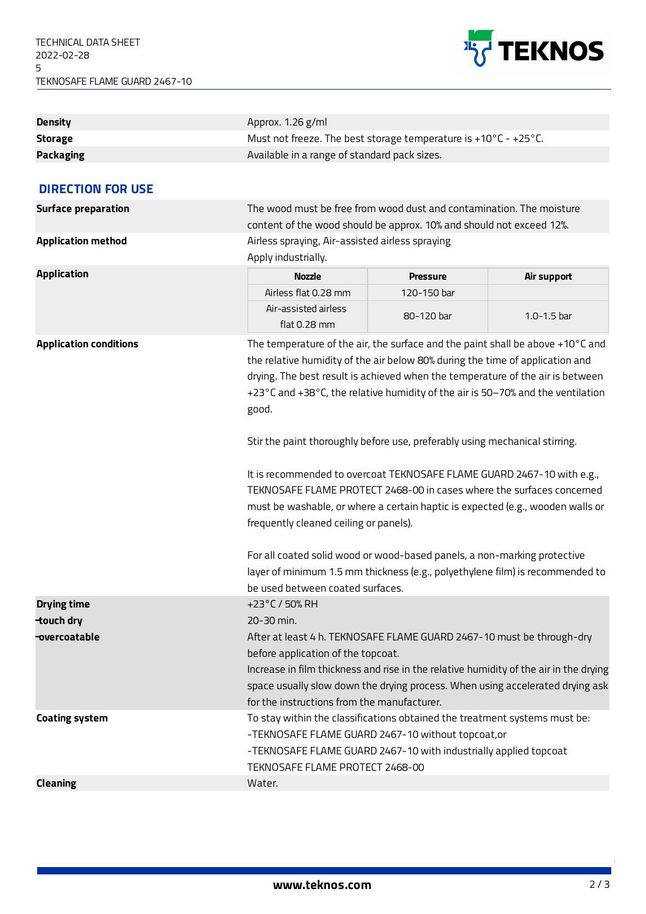

| <b>Density</b>                | Approx. 1.26 g/ml                                                                                                                                                                                                                                                                                                                                                                                                                                                                                                                                                                                                                                                                                                                                                                                                                                                                                            |                 |                 |  |
|-------------------------------|--------------------------------------------------------------------------------------------------------------------------------------------------------------------------------------------------------------------------------------------------------------------------------------------------------------------------------------------------------------------------------------------------------------------------------------------------------------------------------------------------------------------------------------------------------------------------------------------------------------------------------------------------------------------------------------------------------------------------------------------------------------------------------------------------------------------------------------------------------------------------------------------------------------|-----------------|-----------------|--|
| <b>Storage</b>                | Must not freeze. The best storage temperature is +10 $^{\circ}$ C - +25 $^{\circ}$ C.                                                                                                                                                                                                                                                                                                                                                                                                                                                                                                                                                                                                                                                                                                                                                                                                                        |                 |                 |  |
| <b>Packaging</b>              | Available in a range of standard pack sizes.                                                                                                                                                                                                                                                                                                                                                                                                                                                                                                                                                                                                                                                                                                                                                                                                                                                                 |                 |                 |  |
|                               |                                                                                                                                                                                                                                                                                                                                                                                                                                                                                                                                                                                                                                                                                                                                                                                                                                                                                                              |                 |                 |  |
| <b>DIRECTION FOR USE</b>      |                                                                                                                                                                                                                                                                                                                                                                                                                                                                                                                                                                                                                                                                                                                                                                                                                                                                                                              |                 |                 |  |
| <b>Surface preparation</b>    | The wood must be free from wood dust and contamination. The moisture                                                                                                                                                                                                                                                                                                                                                                                                                                                                                                                                                                                                                                                                                                                                                                                                                                         |                 |                 |  |
|                               | content of the wood should be approx. 10% and should not exceed 12%.                                                                                                                                                                                                                                                                                                                                                                                                                                                                                                                                                                                                                                                                                                                                                                                                                                         |                 |                 |  |
| <b>Application method</b>     | Airless spraying, Air-assisted airless spraying                                                                                                                                                                                                                                                                                                                                                                                                                                                                                                                                                                                                                                                                                                                                                                                                                                                              |                 |                 |  |
|                               | Apply industrially.                                                                                                                                                                                                                                                                                                                                                                                                                                                                                                                                                                                                                                                                                                                                                                                                                                                                                          |                 |                 |  |
| <b>Application</b>            | <b>Nozzle</b>                                                                                                                                                                                                                                                                                                                                                                                                                                                                                                                                                                                                                                                                                                                                                                                                                                                                                                | <b>Pressure</b> | Air support     |  |
|                               | Airless flat 0.28 mm                                                                                                                                                                                                                                                                                                                                                                                                                                                                                                                                                                                                                                                                                                                                                                                                                                                                                         | 120-150 bar     |                 |  |
|                               | Air-assisted airless<br>flat $0.28$ mm                                                                                                                                                                                                                                                                                                                                                                                                                                                                                                                                                                                                                                                                                                                                                                                                                                                                       | 80-120 bar      | $1.0 - 1.5$ bar |  |
| <b>Application conditions</b> | The temperature of the air, the surface and the paint shall be above +10°C and<br>the relative humidity of the air below 80% during the time of application and<br>drying. The best result is achieved when the temperature of the air is between<br>+23°C and +38°C, the relative humidity of the air is 50-70% and the ventilation<br>good.<br>Stir the paint thoroughly before use, preferably using mechanical stirring.<br>It is recommended to overcoat TEKNOSAFE FLAME GUARD 2467-10 with e.g.,<br>TEKNOSAFE FLAME PROTECT 2468-00 in cases where the surfaces concerned<br>must be washable, or where a certain haptic is expected (e.g., wooden walls or<br>frequently cleaned ceiling or panels).<br>For all coated solid wood or wood-based panels, a non-marking protective<br>layer of minimum 1.5 mm thickness (e.g., polyethylene film) is recommended to<br>be used between coated surfaces. |                 |                 |  |
| <b>Drying time</b>            | +23°C / 50% RH                                                                                                                                                                                                                                                                                                                                                                                                                                                                                                                                                                                                                                                                                                                                                                                                                                                                                               |                 |                 |  |
| touch dry                     | 20-30 min.                                                                                                                                                                                                                                                                                                                                                                                                                                                                                                                                                                                                                                                                                                                                                                                                                                                                                                   |                 |                 |  |
| -overcoatable                 | After at least 4 h. TEKNOSAFE FLAME GUARD 2467-10 must be through-dry                                                                                                                                                                                                                                                                                                                                                                                                                                                                                                                                                                                                                                                                                                                                                                                                                                        |                 |                 |  |
|                               | before application of the topcoat.                                                                                                                                                                                                                                                                                                                                                                                                                                                                                                                                                                                                                                                                                                                                                                                                                                                                           |                 |                 |  |
|                               | Increase in film thickness and rise in the relative humidity of the air in the drying<br>space usually slow down the drying process. When using accelerated drying ask                                                                                                                                                                                                                                                                                                                                                                                                                                                                                                                                                                                                                                                                                                                                       |                 |                 |  |
|                               | for the instructions from the manufacturer.                                                                                                                                                                                                                                                                                                                                                                                                                                                                                                                                                                                                                                                                                                                                                                                                                                                                  |                 |                 |  |
| <b>Coating system</b>         | To stay within the classifications obtained the treatment systems must be:<br>-TEKNOSAFE FLAME GUARD 2467-10 without topcoat,or<br>-TEKNOSAFE FLAME GUARD 2467-10 with industrially applied topcoat<br>TEKNOSAFE FLAME PROTECT 2468-00                                                                                                                                                                                                                                                                                                                                                                                                                                                                                                                                                                                                                                                                       |                 |                 |  |
| <b>Cleaning</b>               | Water.                                                                                                                                                                                                                                                                                                                                                                                                                                                                                                                                                                                                                                                                                                                                                                                                                                                                                                       |                 |                 |  |

2/3